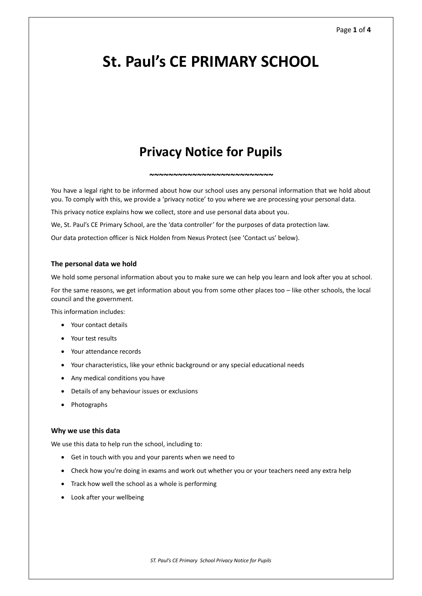# **St. Paul's CE PRIMARY SCHOOL**

# **Privacy Notice for Pupils**

*~~~~~~~~~~~~~~~~~~~~~~~~~~*

You have a legal right to be informed about how our school uses any personal information that we hold about you. To comply with this, we provide a 'privacy notice' to you where we are processing your personal data.

This privacy notice explains how we collect, store and use personal data about you.

We, St. Paul's CE Primary School, are the 'data controller' for the purposes of data protection law.

Our data protection officer is Nick Holden from Nexus Protect (see 'Contact us' below).

#### **The personal data we hold**

We hold some personal information about you to make sure we can help you learn and look after you at school.

For the same reasons, we get information about you from some other places too – like other schools, the local council and the government.

This information includes:

- Your contact details
- Your test results
- Your attendance records
- Your characteristics, like your ethnic background or any special educational needs
- Any medical conditions you have
- Details of any behaviour issues or exclusions
- Photographs

# **Why we use this data**

We use this data to help run the school, including to:

- Get in touch with you and your parents when we need to
- Check how you're doing in exams and work out whether you or your teachers need any extra help
- Track how well the school as a whole is performing
- Look after your wellbeing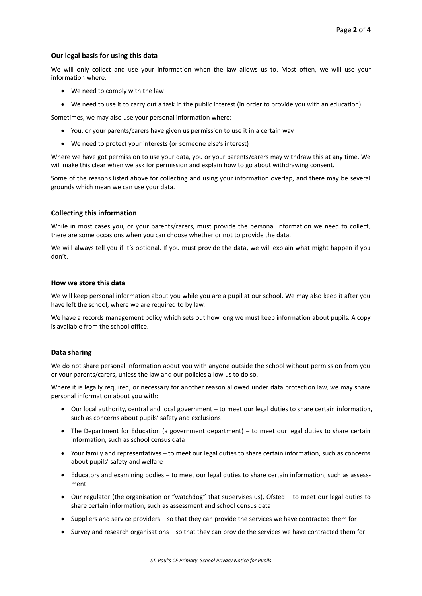# **Our legal basis for using this data**

We will only collect and use your information when the law allows us to. Most often, we will use your information where:

- We need to comply with the law
- We need to use it to carry out a task in the public interest (in order to provide you with an education)

Sometimes, we may also use your personal information where:

- You, or your parents/carers have given us permission to use it in a certain way
- We need to protect your interests (or someone else's interest)

Where we have got permission to use your data, you or your parents/carers may withdraw this at any time. We will make this clear when we ask for permission and explain how to go about withdrawing consent.

Some of the reasons listed above for collecting and using your information overlap, and there may be several grounds which mean we can use your data.

# **Collecting this information**

While in most cases you, or your parents/carers, must provide the personal information we need to collect, there are some occasions when you can choose whether or not to provide the data.

We will always tell you if it's optional. If you must provide the data, we will explain what might happen if you don't.

# **How we store this data**

We will keep personal information about you while you are a pupil at our school. We may also keep it after you have left the school, where we are required to by law.

We have a records management policy which sets out how long we must keep information about pupils. A copy is available from the school office.

# **Data sharing**

We do not share personal information about you with anyone outside the school without permission from you or your parents/carers, unless the law and our policies allow us to do so.

Where it is legally required, or necessary for another reason allowed under data protection law, we may share personal information about you with:

- Our local authority, central and local government to meet our legal duties to share certain information, such as concerns about pupils' safety and exclusions
- The Department for Education (a government department) to meet our legal duties to share certain information, such as school census data
- Your family and representatives to meet our legal duties to share certain information, such as concerns about pupils' safety and welfare
- Educators and examining bodies to meet our legal duties to share certain information, such as assessment
- Our regulator (the organisation or "watchdog" that supervises us), Ofsted to meet our legal duties to share certain information, such as assessment and school census data
- Suppliers and service providers so that they can provide the services we have contracted them for
- Survey and research organisations so that they can provide the services we have contracted them for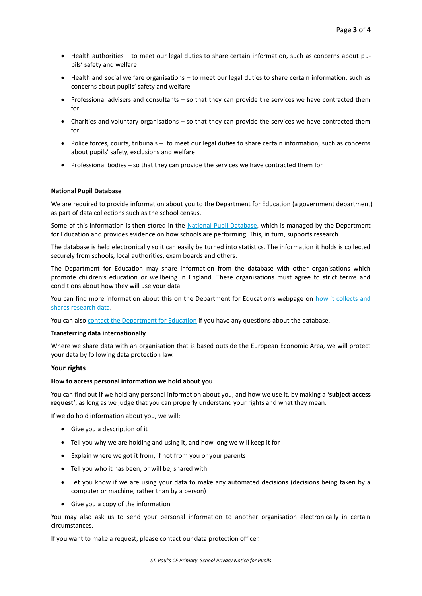- Health authorities to meet our legal duties to share certain information, such as concerns about pupils' safety and welfare
- Health and social welfare organisations to meet our legal duties to share certain information, such as concerns about pupils' safety and welfare
- Professional advisers and consultants so that they can provide the services we have contracted them for
- Charities and voluntary organisations so that they can provide the services we have contracted them for
- Police forces, courts, tribunals –to meet our legal duties to share certain information, such as concerns about pupils' safety, exclusions and welfare
- Professional bodies so that they can provide the services we have contracted them for

#### **National Pupil Database**

We are required to provide information about you to the Department for Education (a government department) as part of data collections such as the school census.

Some of this information is then stored in the [National Pupil Database,](https://www.gov.uk/government/publications/national-pupil-database-user-guide-and-supporting-information) which is managed by the Department for Education and provides evidence on how schools are performing. This, in turn, supports research.

The database is held electronically so it can easily be turned into statistics. The information it holds is collected securely from schools, local authorities, exam boards and others.

The Department for Education may share information from the database with other organisations which promote children's education or wellbeing in England. These organisations must agree to strict terms and conditions about how they will use your data.

You can find more information about this on the Department for Education's webpage on [how it collects and](https://www.gov.uk/data-protection-how-we-collect-and-share-research-data)  [shares research data.](https://www.gov.uk/data-protection-how-we-collect-and-share-research-data)

You can also [contact the Department for Education](https://www.gov.uk/contact-dfe) if you have any questions about the database.

#### **Transferring data internationally**

Where we share data with an organisation that is based outside the European Economic Area, we will protect your data by following data protection law.

# **Your rights**

#### **How to access personal information we hold about you**

You can find out if we hold any personal information about you, and how we use it, by making a **'subject access request'**, as long as we judge that you can properly understand your rights and what they mean.

If we do hold information about you, we will:

- Give you a description of it
- Tell you why we are holding and using it, and how long we will keep it for
- Explain where we got it from, if not from you or your parents
- Tell you who it has been, or will be, shared with
- Let you know if we are using your data to make any automated decisions (decisions being taken by a computer or machine, rather than by a person)
- Give you a copy of the information

You may also ask us to send your personal information to another organisation electronically in certain circumstances.

If you want to make a request, please contact our data protection officer.